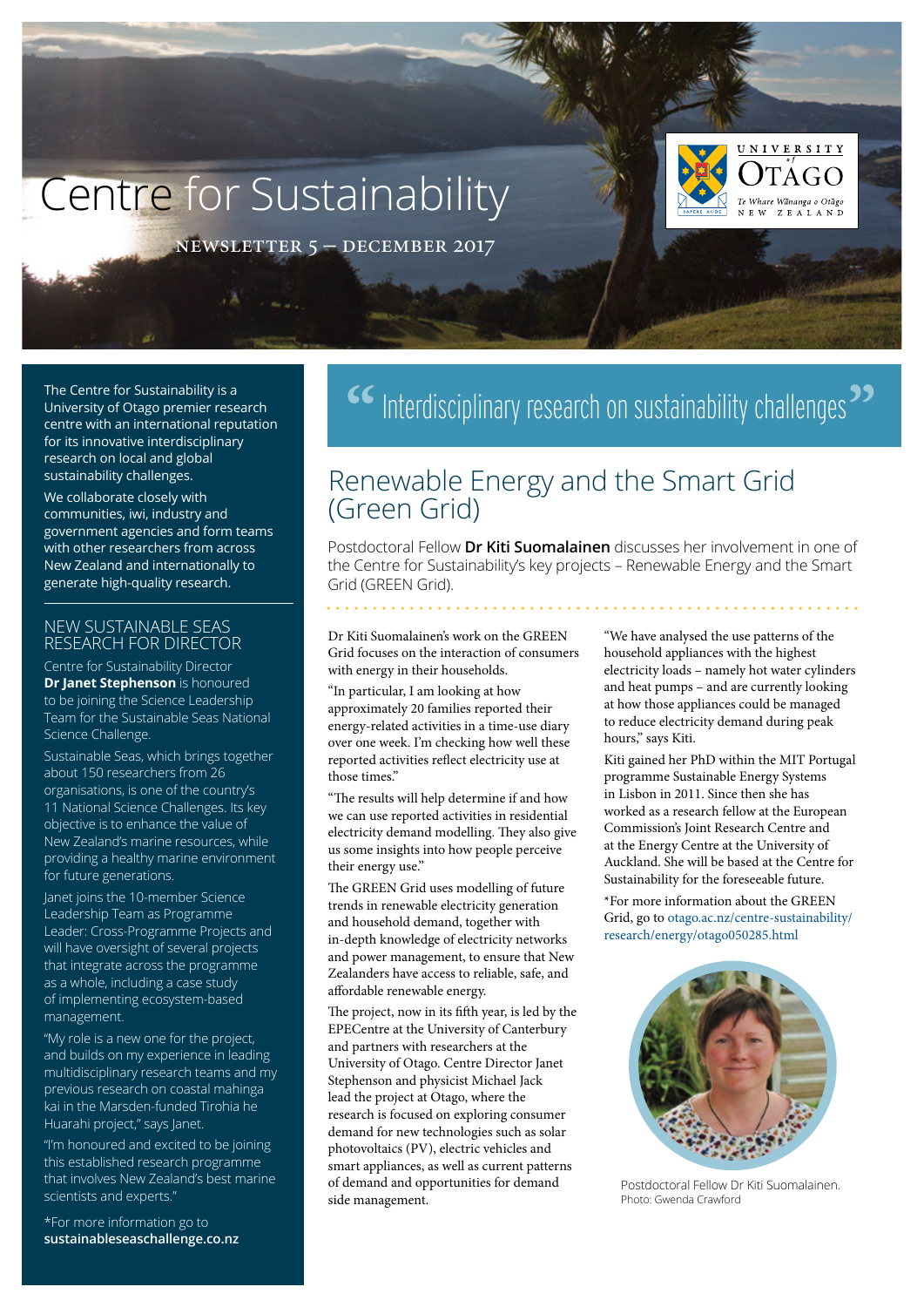# Centre for Sustainability



newsletter 5 – december 2017

The Centre for Sustainability is a University of Otago premier research centre with an international reputation for its innovative interdisciplinary research on local and global sustainability challenges.

We collaborate closely with communities, iwi, industry and government agencies and form teams with other researchers from across New Zealand and internationally to generate high-quality research.

#### NEW SUSTAINABLE SEAS RESEARCH FOR DIRECTOR

Centre for Sustainability Director **Dr Janet Stephenson** is honoured to be joining the Science Leadership Team for the Sustainable Seas National Science Challenge.

Sustainable Seas, which brings together about 150 researchers from 26 organisations, is one of the country's 11 National Science Challenges. Its key objective is to enhance the value of New Zealand's marine resources, while providing a healthy marine environment for future generations.

Janet joins the 10-member Science Leadership Team as Programme Leader: Cross-Programme Projects and will have oversight of several projects that integrate across the programme as a whole, including a case study of implementing ecosystem-based management.

"My role is a new one for the project, and builds on my experience in leading multidisciplinary research teams and my previous research on coastal mahinga kai in the Marsden-funded Tirohia he Huarahi project," says Janet.

"I'm honoured and excited to be joining this established research programme that involves New Zealand's best marine scientists and experts."

\*For more information go to **[sustainableseaschallenge.co.nz](http://sustainableseaschallenge.co.nz)**

## <sup>66</sup> Interdisciplinary research on sustainability challenges<sup>22</sup>

## Renewable Energy and the Smart Grid (Green Grid)

Postdoctoral Fellow **Dr Kiti Suomalainen** discusses her involvement in one of the Centre for Sustainability's key projects – Renewable Energy and the Smart Grid (GREEN Grid).

Dr Kiti Suomalainen's work on the GREEN Grid focuses on the interaction of consumers with energy in their households.

. . . . . . . . . . . . . . .

"In particular, I am looking at how approximately 20 families reported their energy-related activities in a time-use diary over one week. I'm checking how well these reported activities reflect electricity use at those times."

"The results will help determine if and how we can use reported activities in residential electricity demand modelling. They also give us some insights into how people perceive their energy use."

The GREEN Grid uses modelling of future trends in renewable electricity generation and household demand, together with in-depth knowledge of electricity networks and power management, to ensure that New Zealanders have access to reliable, safe, and affordable renewable energy.

The project, now in its fifth year, is led by the EPECentre at the University of Canterbury and partners with researchers at the University of Otago. Centre Director Janet Stephenson and physicist Michael Jack lead the project at Otago, where the research is focused on exploring consumer demand for new technologies such as solar photovoltaics (PV), electric vehicles and smart appliances, as well as current patterns of demand and opportunities for demand side management.

"We have analysed the use patterns of the household appliances with the highest electricity loads – namely hot water cylinders and heat pumps – and are currently looking at how those appliances could be managed to reduce electricity demand during peak hours," says Kiti.

Kiti gained her PhD within the MIT Portugal programme Sustainable Energy Systems in Lisbon in 2011. Since then she has worked as a research fellow at the European Commission's Joint Research Centre and at the Energy Centre at the University of Auckland. She will be based at the Centre for Sustainability for the foreseeable future.

\*For more information about the GREEN Grid, go to [otago.ac.nz/centre-sustainability/](http://www.otago.ac.nz/centre-sustainability/research/energy/otago050285.html) [research/energy/otago050285.html](http://www.otago.ac.nz/centre-sustainability/research/energy/otago050285.html)



Postdoctoral Fellow Dr Kiti Suomalainen. Photo: Gwenda Crawford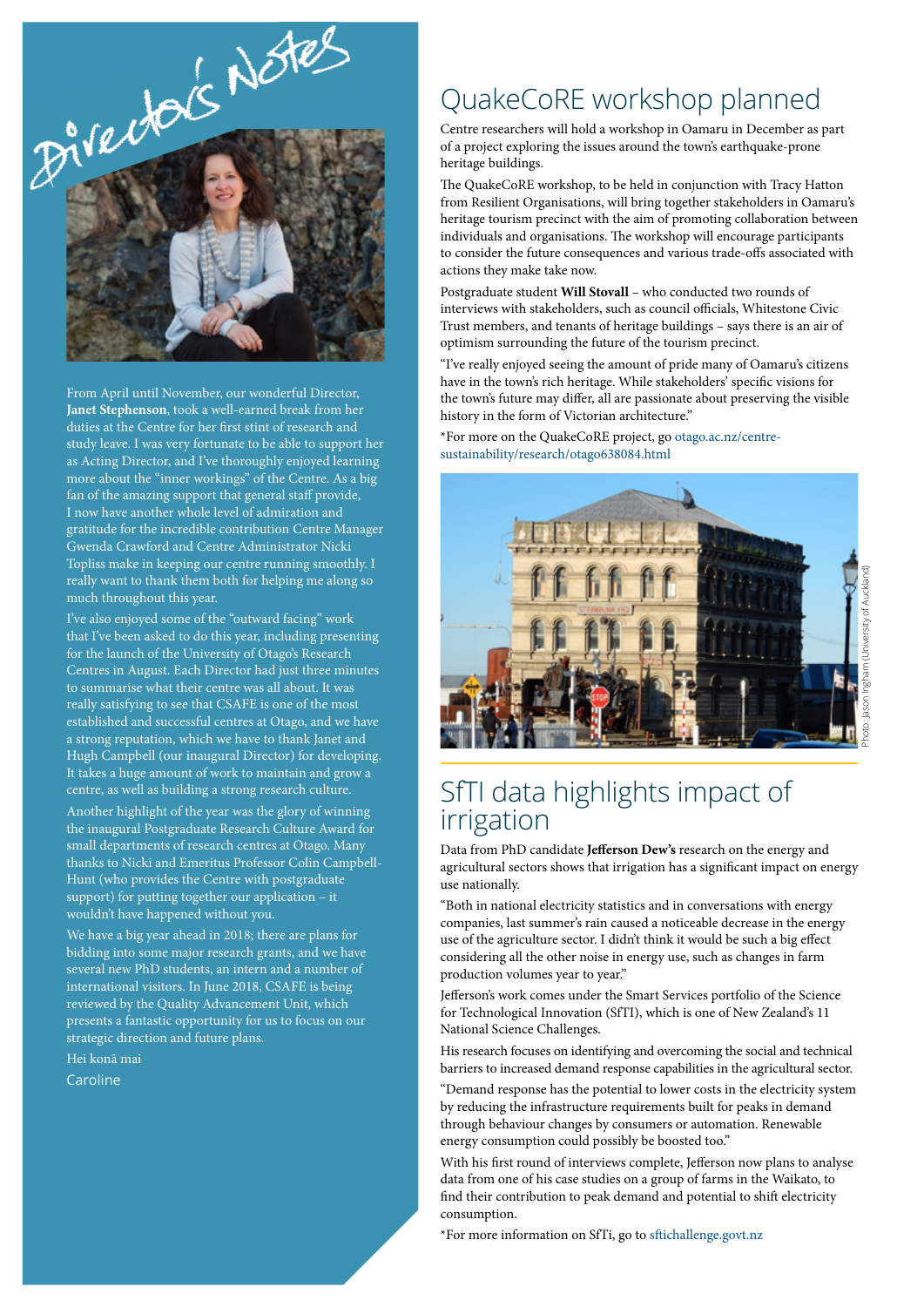

From April until November, our wonderful Director, **Janet Stephenson**, took a well-earned break from her duties at the Centre for her first stint of research and study leave. I was very fortunate to be able to support her as Acting Director, and I've thoroughly enjoyed learning more about the "inner workings" of the Centre. As a big fan of the amazing support that general staff provide, I now have another whole level of admiration and gratitude for the incredible contribution Centre Manager Gwenda Crawford and Centre Administrator Nicki Topliss make in keeping our centre running smoothly. I really want to thank them both for helping me along so much throughout this year.

I've also enjoyed some of the "outward facing" work that I've been asked to do this year, including presenting for the launch of the University of Otago's Research Centres in August. Each Director had just three minutes to summarise what their centre was all about. It was really satisfying to see that CSAFE is one of the most established and successful centres at Otago, and we have a strong reputation, which we have to thank Janet and Hugh Campbell (our inaugural Director) for developing. It takes a huge amount of work to maintain and grow a centre, as well as building a strong research culture.

Another highlight of the year was the glory of winning the inaugural Postgraduate Research Culture Award for small departments of research centres at Otago. Many thanks to Nicki and Emeritus Professor Colin Campbell-Hunt (who provides the Centre with postgraduate support) for putting together our application – it wouldn't have happened without you.

We have a big year ahead in 2018; there are plans for bidding into some major research grants, and we have several new PhD students, an intern and a number of international visitors. In June 2018, CSAFE is being reviewed by the Quality Advancement Unit, which presents a fantastic opportunity for us to focus on our strategic direction and future plans.

Hei konā mai

**Caroline** 

## QuakeCoRE workshop planned

Centre researchers will hold a workshop in Oamaru in December as part of a project exploring the issues around the town's earthquake-prone heritage buildings.

The QuakeCoRE workshop, to be held in conjunction with Tracy Hatton from Resilient Organisations, will bring together stakeholders in Oamaru's heritage tourism precinct with the aim of promoting collaboration between individuals and organisations. The workshop will encourage participants to consider the future consequences and various trade-offs associated with actions they make take now.

Postgraduate student **Will Stovall** – who conducted two rounds of interviews with stakeholders, such as council officials, Whitestone Civic Trust members, and tenants of heritage buildings – says there is an air of optimism surrounding the future of the tourism precinct.

"I've really enjoyed seeing the amount of pride many of Oamaru's citizens have in the town's rich heritage. While stakeholders' specific visions for the town's future may differ, all are passionate about preserving the visible history in the form of Victorian architecture."

\*For more on the QuakeCoRE project, go [otago.ac.nz/centre](http://www.otago.ac.nz/centre-sustainability/research/otago638084.html)[sustainability/research/otago638084.html](http://www.otago.ac.nz/centre-sustainability/research/otago638084.html)



## SfTI data highlights impact of irrigation

Data from PhD candidate **Jefferson Dew's** research on the energy and agricultural sectors shows that irrigation has a significant impact on energy use nationally.

"Both in national electricity statistics and in conversations with energy companies, last summer's rain caused a noticeable decrease in the energy use of the agriculture sector. I didn't think it would be such a big effect considering all the other noise in energy use, such as changes in farm production volumes year to year."

Jefferson's work comes under the Smart Services portfolio of the Science for Technological Innovation (SfTI), which is one of New Zealand's 11 National Science Challenges.

His research focuses on identifying and overcoming the social and technical barriers to increased demand response capabilities in the agricultural sector.

"Demand response has the potential to lower costs in the electricity system by reducing the infrastructure requirements built for peaks in demand through behaviour changes by consumers or automation. Renewable energy consumption could possibly be boosted too."

With his first round of interviews complete, Jefferson now plans to analyse data from one of his case studies on a group of farms in the Waikato, to find their contribution to peak demand and potential to shift electricity consumption.

\*For more information on SfTi, go to [sftichallenge.govt.nz](http://www.sftichallenge.govt.nz/)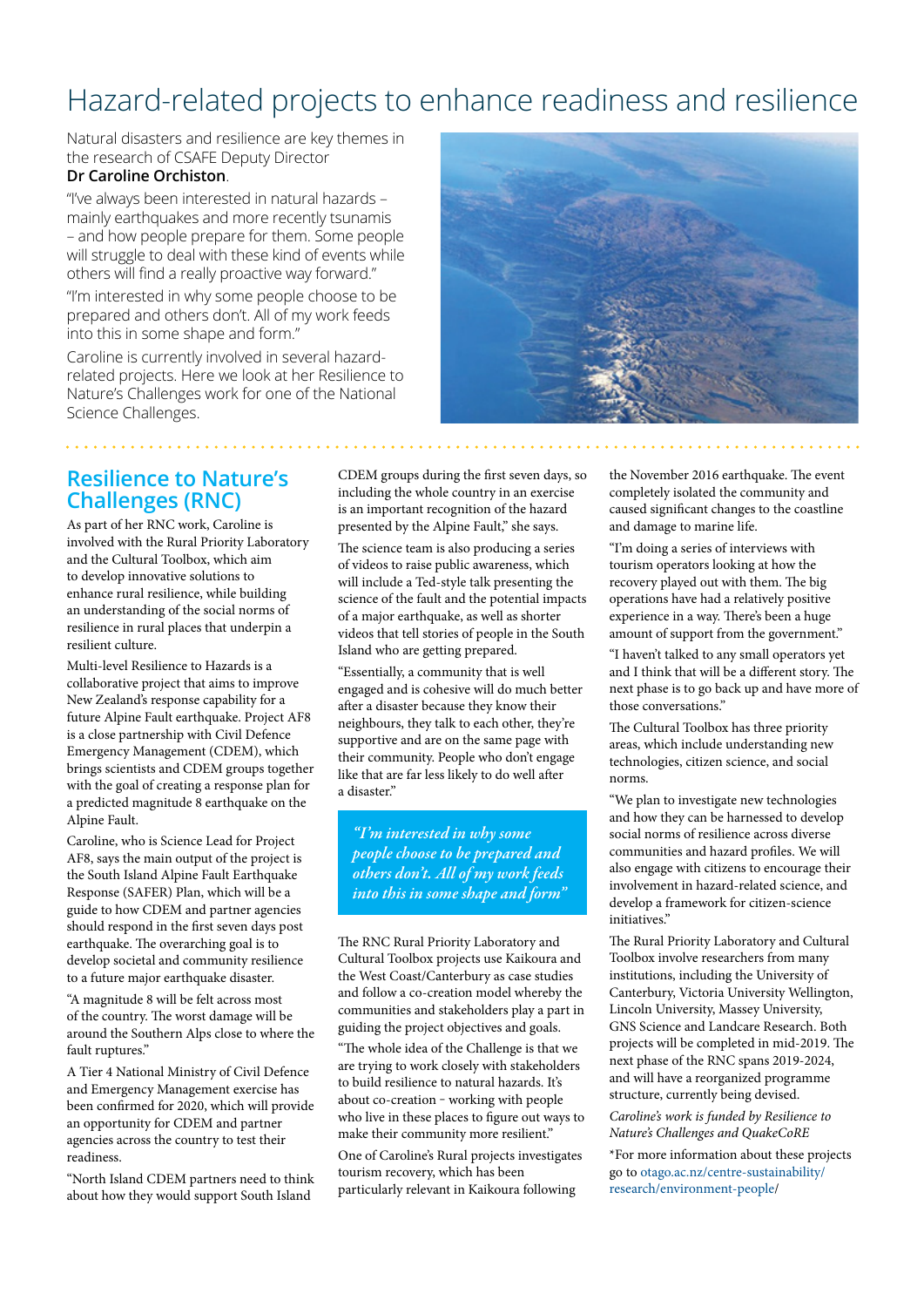## Hazard-related projects to enhance readiness and resilience

Natural disasters and resilience are key themes in the research of CSAFE Deputy Director

#### **Dr Caroline Orchiston**.

"I've always been interested in natural hazards – mainly earthquakes and more recently tsunamis – and how people prepare for them. Some people will struggle to deal with these kind of events while others will find a really proactive way forward."

"I'm interested in why some people choose to be prepared and others don't. All of my work feeds into this in some shape and form."

Caroline is currently involved in several hazardrelated projects. Here we look at her Resilience to Nature's Challenges work for one of the National Science Challenges.



#### **Resilience to Nature's Challenges (RNC)**

As part of her RNC work, Caroline is involved with the Rural Priority Laboratory and the Cultural Toolbox, which aim to develop innovative solutions to enhance rural resilience, while building an understanding of the social norms of resilience in rural places that underpin a resilient culture.

Multi-level Resilience to Hazards is a collaborative project that aims to improve New Zealand's response capability for a future Alpine Fault earthquake. Project AF8 is a close partnership with Civil Defence Emergency Management (CDEM), which brings scientists and CDEM groups together with the goal of creating a response plan for a predicted magnitude 8 earthquake on the Alpine Fault.

Caroline, who is Science Lead for Project AF8, says the main output of the project is the South Island Alpine Fault Earthquake Response (SAFER) Plan, which will be a guide to how CDEM and partner agencies should respond in the first seven days post earthquake. The overarching goal is to develop societal and community resilience to a future major earthquake disaster.

"A magnitude 8 will be felt across most of the country. The worst damage will be around the Southern Alps close to where the fault ruptures."

A Tier 4 National Ministry of Civil Defence and Emergency Management exercise has been confirmed for 2020, which will provide an opportunity for CDEM and partner agencies across the country to test their readiness.

"North Island CDEM partners need to think about how they would support South Island

CDEM groups during the first seven days, so including the whole country in an exercise is an important recognition of the hazard presented by the Alpine Fault," she says.

The science team is also producing a series of videos to raise public awareness, which will include a Ted-style talk presenting the science of the fault and the potential impacts of a major earthquake, as well as shorter videos that tell stories of people in the South Island who are getting prepared.

"Essentially, a community that is well engaged and is cohesive will do much better after a disaster because they know their neighbours, they talk to each other, they're supportive and are on the same page with their community. People who don't engage like that are far less likely to do well after a disaster."

*"I'm interested in why some people choose to be prepared and others don't. All of my work feeds into this in some shape and form"*

The RNC Rural Priority Laboratory and Cultural Toolbox projects use Kaikoura and the West Coast/Canterbury as case studies and follow a co-creation model whereby the communities and stakeholders play a part in guiding the project objectives and goals.

"The whole idea of the Challenge is that we are trying to work closely with stakeholders to build resilience to natural hazards. It's about co-creation - working with people who live in these places to figure out ways to make their community more resilient."

One of Caroline's Rural projects investigates tourism recovery, which has been particularly relevant in Kaikoura following

the November 2016 earthquake. The event completely isolated the community and caused significant changes to the coastline and damage to marine life.

"I'm doing a series of interviews with tourism operators looking at how the recovery played out with them. The big operations have had a relatively positive experience in a way. There's been a huge amount of support from the government."

"I haven't talked to any small operators yet and I think that will be a different story. The next phase is to go back up and have more of those conversations.'

The Cultural Toolbox has three priority areas, which include understanding new technologies, citizen science, and social norms.

"We plan to investigate new technologies and how they can be harnessed to develop social norms of resilience across diverse communities and hazard profiles. We will also engage with citizens to encourage their involvement in hazard-related science, and develop a framework for citizen-science initiatives."

The Rural Priority Laboratory and Cultural Toolbox involve researchers from many institutions, including the University of Canterbury, Victoria University Wellington, Lincoln University, Massey University, GNS Science and Landcare Research. Both projects will be completed in mid-2019. The next phase of the RNC spans 2019-2024, and will have a reorganized programme structure, currently being devised. *Caroline's work is funded by Resilience to Nature's Challenges and QuakeCoRE* \*For more information about these projects go to [otago.ac.nz/centre-sustainability/](http://www.otago.ac.nz/centre-sustainability/research/environment-people) [research/environment-people](http://www.otago.ac.nz/centre-sustainability/research/environment-people)/